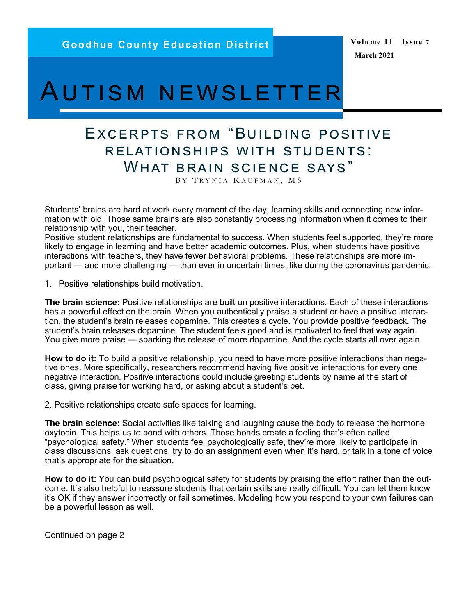**Volume 11 Issue 7 March 2021**

# Autism newsletter

# Excerpts from "Building positive relationships with students: What brain science says"

BY TRYNIA KAUFMAN, MS

Students' brains are hard at work every moment of the day, learning skills and connecting new information with old. Those same brains are also constantly processing information when it comes to their relationship with you, their teacher.

Positive student relationships are fundamental to success. When students feel supported, they're more likely to engage in learning and have better academic outcomes. Plus, when students have positive interactions with teachers, they have fewer behavioral problems. These relationships are more important — and more challenging — than ever in uncertain times, like during the coronavirus pandemic.

1. Positive relationships build motivation.

**The brain science:** Positive relationships are built on positive interactions. Each of these interactions has a powerful effect on the brain. When you authentically praise a student or have a positive interaction, the student's brain releases dopamine. This creates a cycle. You provide positive feedback. The student's brain releases dopamine. The student feels good and is motivated to feel that way again. You give more praise — sparking the release of more dopamine. And the cycle starts all over again.

**How to do it:** To build a positive relationship, you need to have more positive interactions than negative ones. More specifically, researchers recommend having five positive interactions for every one negative interaction. Positive interactions could include greeting students by name at the start of class, [giving praise for working hard,](https://www.understood.org/en/school-learning/for-educators/classroom-management/the-power-of-effective-praise-a-guide-for-teachers) or asking about a student's pet.

2. Positive relationships create safe spaces for learning.

**The brain science:** Social activities like talking and laughing cause the body to release the hormone oxytocin. This helps us to bond with others. Those bonds create a feeling that's often called "psychological safety." When students feel psychologically safe, they're more likely to participate in class discussions, ask questions, try to do an assignment even when it's hard, or talk in a tone of voice that's appropriate for the situation.

**How to do it:** You can build psychological safety for students by praising the effort rather than the outcome. It's also helpful to reassure students that certain skills are really difficult. You can let them know it's OK if they answer incorrectly or fail sometimes. Modeling how you respond to your own failures can be a powerful lesson as well.

Continued on page 2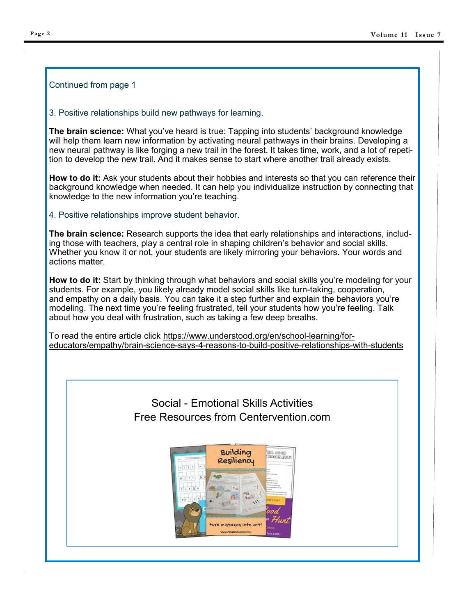#### Continued from page 1

3. Positive relationships build new pathways for learning.

**The brain science:** What you've heard is true: Tapping into students' background knowledge will help them learn new information by activating neural pathways in their brains. Developing a new neural pathway is like forging a new trail in the forest. It takes time, work, and a lot of repetition to develop the new trail. And it makes sense to start where another trail already exists.

**How to do it:** Ask your students about their hobbies and interests so that you can reference their background knowledge when needed. It can help you individualize instruction by connecting that knowledge to the new information you're teaching.

4. Positive relationships improve student behavior.

**The brain science:** Research supports the idea that early relationships and interactions, including those with teachers, play a central role in shaping children's behavior and social skills. Whether you know it or not, your students are likely mirroring your behaviors. Your words and actions matter.

**How to do it:** Start by thinking through what behaviors and social skills you're modeling for your students. For example, you likely already model social skills like turn-taking, cooperation, and [empathy](https://www.understood.org/en/school-learning/for-educators/empathy/teaching-with-empathy-why-its-important) on a daily basis. You can take it a step further and explain the behaviors you're modeling. The next time you're feeling frustrated, tell your students how you're feeling. Talk about how you deal with frustration, such as taking a few deep breaths.

To read the entire article click [https://www.understood.org/en/school](https://www.understood.org/en/school-learning/for-educators/empathy/brain-science-says-4-reasons-to-build-positive-relationships-with-students)-learning/for[educators/empathy/brain](https://www.understood.org/en/school-learning/for-educators/empathy/brain-science-says-4-reasons-to-build-positive-relationships-with-students)-science-says-4-reasons-to-build-positive-relationships-with-students

## Social - Emotional Skills Activities Free Resources from Centervention.com

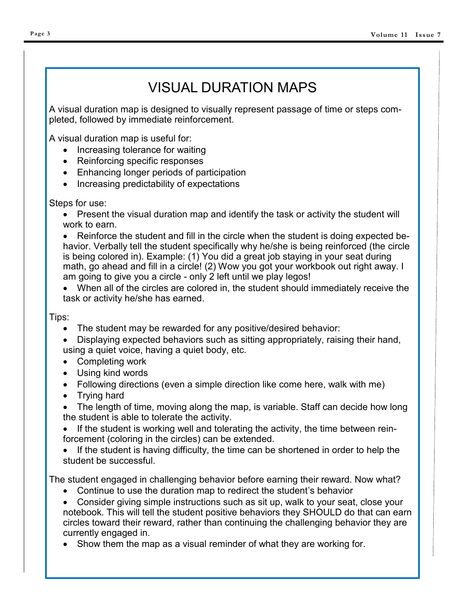# VISUAL DURATION MAPS

A visual duration map is designed to visually represent passage of time or steps completed, followed by immediate reinforcement.

A visual duration map is useful for:

- Increasing tolerance for waiting
- Reinforcing specific responses
- Enhancing longer periods of participation
- Increasing predictability of expectations

## Steps for use:

 Present the visual duration map and identify the task or activity the student will work to earn.

 Reinforce the student and fill in the circle when the student is doing expected behavior. Verbally tell the student specifically why he/she is being reinforced (the circle is being colored in). Example: (1) You did a great job staying in your seat during math, go ahead and fill in a circle! (2) Wow you got your workbook out right away. I am going to give you a circle - only 2 left until we play legos!

 When all of the circles are colored in, the student should immediately receive the task or activity he/she has earned.

## Tips:

- The student may be rewarded for any positive/desired behavior:
- Displaying expected behaviors such as sitting appropriately, raising their hand, using a quiet voice, having a quiet body, etc.
- Completing work
- Using kind words
- Following directions (even a simple direction like come here, walk with me)
- Trying hard
- The length of time, moving along the map, is variable. Staff can decide how long the student is able to tolerate the activity.

• If the student is working well and tolerating the activity, the time between reinforcement (coloring in the circles) can be extended.

• If the student is having difficulty, the time can be shortened in order to help the student be successful.

The student engaged in challenging behavior before earning their reward. Now what?

- Continue to use the duration map to redirect the student's behavior
- Consider giving simple instructions such as sit up, walk to your seat, close your notebook. This will tell the student positive behaviors they SHOULD do that can earn circles toward their reward, rather than continuing the challenging behavior they are currently engaged in.
- Show them the map as a visual reminder of what they are working for.